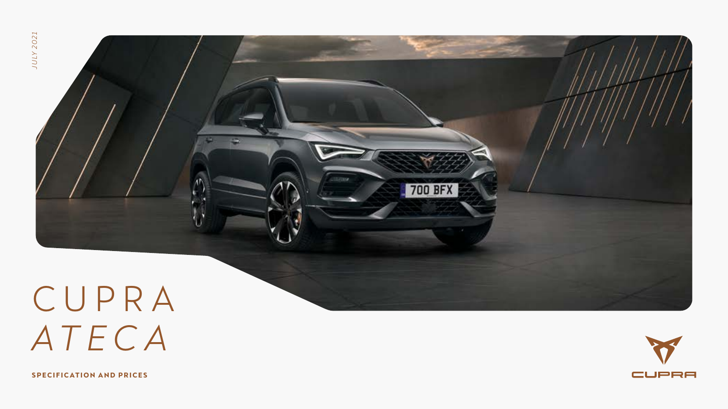

# C U P R A *ATEC A*

CUPRA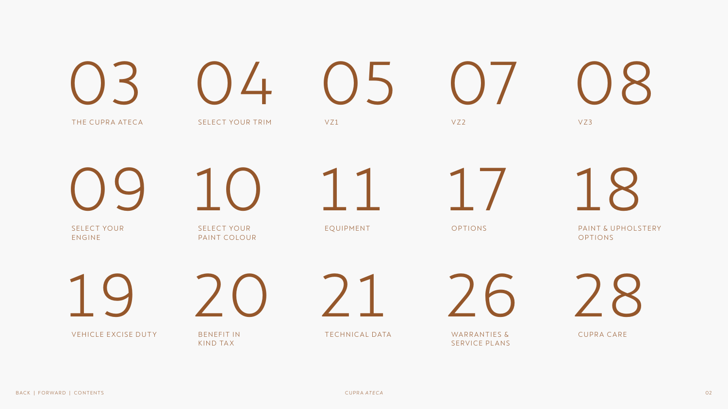<span id="page-1-0"></span>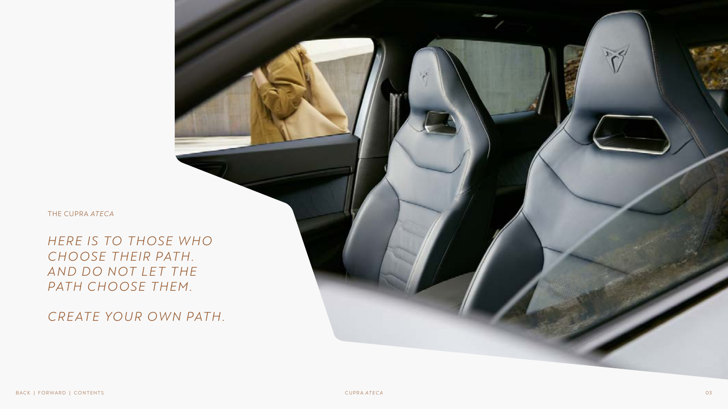<span id="page-2-0"></span>THE CUPRA *ATECA*

*H ER E IS TO THOSE WHO*  CHOOSE THEIR PATH. AND DO NOT LET THE PATH CHOOSE THEM.

*CRE ATE YOUR OWN PATH.*

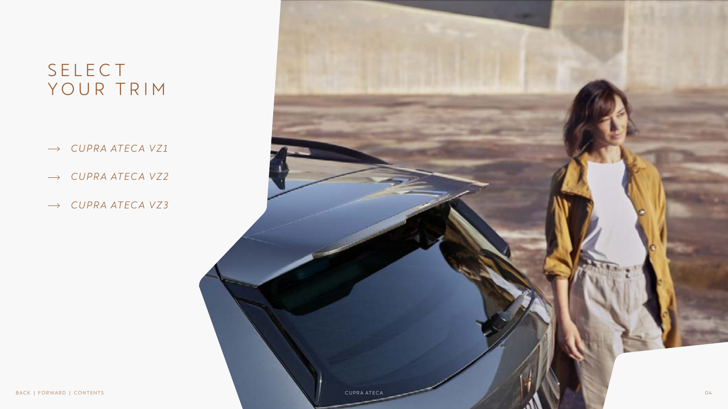### **SELECT** YOUR TRIM

- *CUPR A ATECA V Z1*  $\longrightarrow$
- → CUPRA ATECA VZ2<br>→ CUPRA ATECA VZ3
- 

<span id="page-3-0"></span>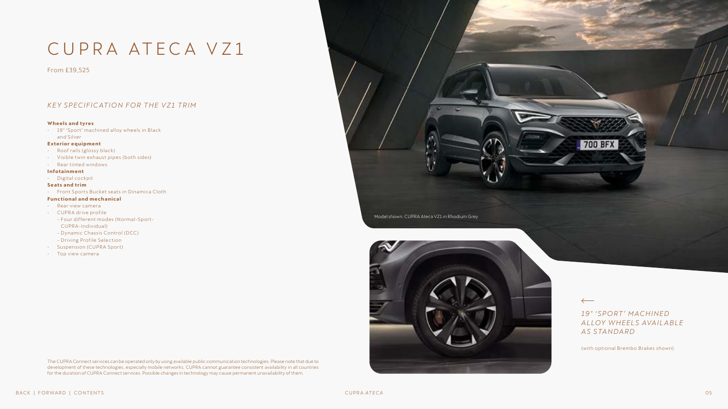### <span id="page-4-0"></span>CUPRA ATECA VZ1

From £39,525

#### *KE Y SPECIFICATION FOR THE V Z1 TRIM*

#### **Wheels and tyres**

∙ 19" 'Sport' machined alloy wheels in Black and Silver

#### **Exterior equipment**

- ∙ Roof rails (glossy black)
- ∙ Visible twin exhaust pipes (both sides)
- ∙ Rear tinted windows

#### **Infotainment**

- ∙ Digital cockpit
- **Seats and trim**
- ∙ Front Sports Bucket seats in Dinamica Cloth

#### **Functional and mechanical**

- ∙ Rear view camera
- ∙ CUPRA drive profile
- Four different modes (Normal-Sport-CUPRA-Individual)
- Dynamic Chassis Control (DCC)
- Driving Profile Selection
- ∙ Suspension (CUPRA Sport)
- ∙ Top view camera

The CUPRA Connect services can be operated only by using available public communication technologies. Please note that due to development of these technologies, especially mobile networks, CUPRA cannot guarantee consistent availability in all countries for the duration of CUPRA Connect services. Possible changes in technology may cause permanent unavailability of them.



Model shown: CUPRA Ateca VZ1 in Rhodium Grey



*1 9 ″ ' SP O RT ' M ACH I N ED A LLOY W H EEL S AVA I L A B LE A S S TA N DA R D* 

(with optional Brembo Brakes shown).

 $\leftarrow$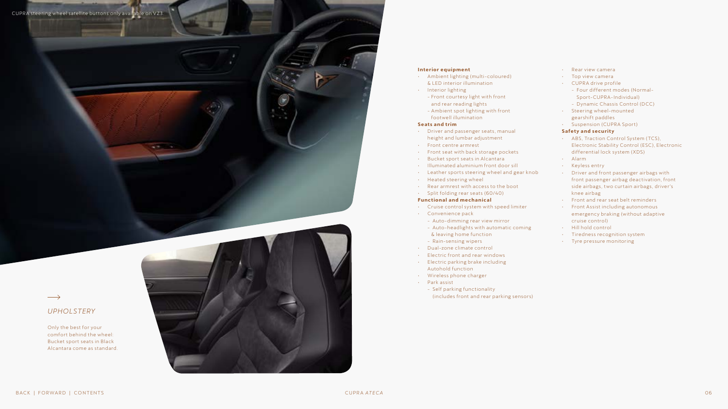

#### **Interior equipment**

- ∙ Ambient lighting (multi-coloured) & LED interior illumination
- ∙ Interior lighting
	- Front courtesy light with front and rear reading lights
	- Ambient spot lighting with front footwell illumination

#### **Seats and trim**

- ∙ Driver and passenger seats, manual height and lumbar adjustment
- ∙ Front centre armrest
- ∙ Front seat with back storage pockets
- ∙ Bucket sport seats in Alcantara
- ∙ Illuminated aluminium front door sill
- ∙ Leather sports steering wheel and gear knob
- ∙ Heated steering wheel
- ∙ Rear armrest with access to the boot
- ∙ Split folding rear seats (60/40)

#### **Functional and mechanical**

- ∙ Cruise control system with speed limiter
- ∙ Convenience pack
- Auto-dimming rear view mirror
- Auto-headlights with automatic coming & leaving home function
- Rain-sensing wipers
- ∙ Dual-zone climate control
- ∙ Electric front and rear windows
- ∙ Electric parking brake including Autohold function
- ∙ Wireless phone charger
- ∙ Park assist
	- Self parking functionality (includes front and rear parking sensors)

#### ∙ Rear view camera

- ∙ Top view camera
- ∙ CUPRA drive profile
- Four different modes (Normal-Sport-CUPRA-Individual)
- Dynamic Chassis Control (DCC)
- ∙ Steering wheel-mounted gearshift paddles
- ∙ Suspension (CUPRA Sport)

#### **Safety and security**

- ∙ ABS, Traction Control System (TCS), Electronic Stability Control (ESC), Electronic differential lock system (XDS)
- ∙ Alarm
- ∙ Keyless entry
- ∙ Driver and front passenger airbags with front passenger airbag deactivation, front side airbags, two curtain airbags, driver's knee airbag
- ∙ Front and rear seat belt reminders
- ∙ Front Assist including autonomous emergency braking (without adaptive cruise control)
- ∙ Hill hold control
- ∙ Tiredness recognition system
- ∙ Tyre pressure monitoring

### $\longrightarrow$

#### *UPHOLSTERY*

Only the best for your comfort behind the wheel: Bucket sport seats in Black Alcantara come as standard.

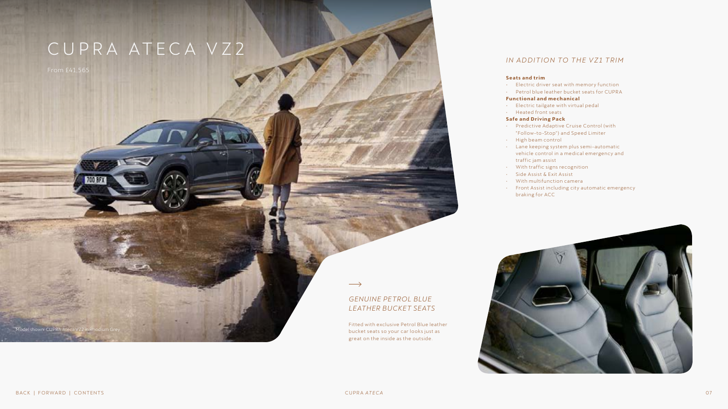### <span id="page-6-0"></span>CUPRA ATECA VZ2

### *GENUINE PETROL BLUE LEATHER BUCKET SEATS*

Fitted with exclusive Petrol Blue leather bucket seats so your car looks just as great on the inside as the outside.

### *IN ADDITION TO THE VZ1 TRIM*

#### **Seats and trim**

- ∙ Electric driver seat with memory function
- Petrol blue leather bucket seats for CUPRA

#### **Functional and mechanical**

- ∙ Electric tailgate with virtual pedal
- Heated front seats

#### **Safe and Driving Pack**

- Predictive Adaptive Cruise Control (with "Follow-to-Stop") and Speed Limiter
- High beam control
- Lane keeping system plus semi-automatic vehicle control in a medical emergency and traffic jam assist
- With traffic signs recognition
- Side Assist & Exit Assist
- With multifunction camera
- Front Assist including city automatic emergency braking for ACC



Model shown: CUPRA Ateca VZ2 in F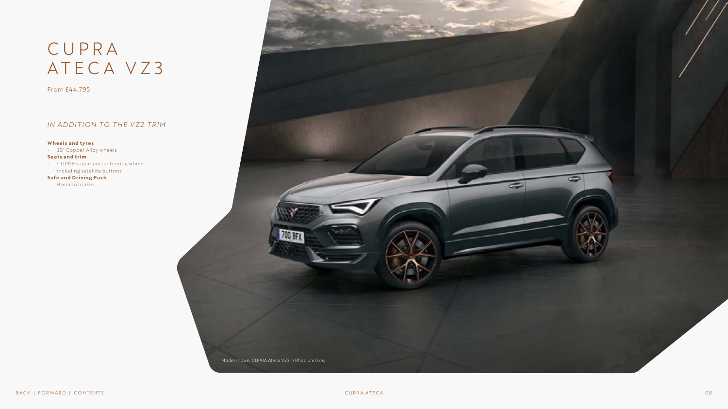### <span id="page-7-0"></span>C U P R A ATECA V Z 3

From £44,795

### *IN ADDITION TO THE VZ2 TRIM*

#### **Wheels and tyres**

∙ 19" Copper Alloy wheels **Seats and trim**

∙ CUPRA supersports steering wheel including satellite buttons

#### **Safe and Driving Pack**

• Brembo brakes

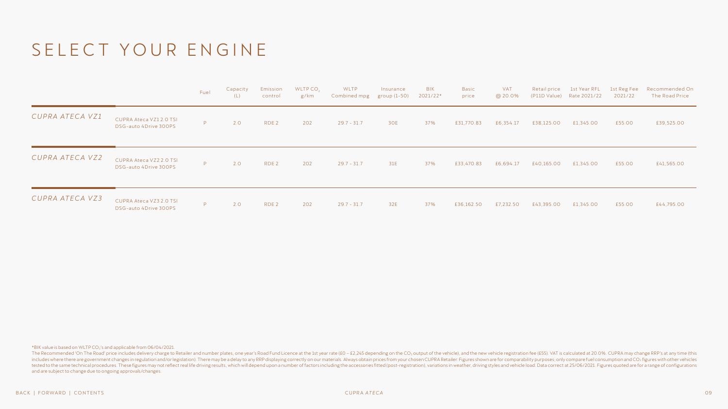### <span id="page-8-0"></span>SELECT YOUR ENGINE

|                 |                                                  | Fuel | Capacity<br>(L) | Emission<br>control | WLTP CO <sub>2</sub><br>g/km | WLTP<br>Combined mpg group (1-50) | Insurance | BIK<br>2021/22* | Basic<br>price | VAT<br>@ 20.0% | Retail price | (P11D Value) Rate 2021/22 | 2021/22 | 1st Year RFL 1st Reg Fee Recommended On<br>The Road Price |
|-----------------|--------------------------------------------------|------|-----------------|---------------------|------------------------------|-----------------------------------|-----------|-----------------|----------------|----------------|--------------|---------------------------|---------|-----------------------------------------------------------|
| CUPRA ATECA VZ1 | CUPRA Ateca VZ12.0 TSI<br>DSG-auto 4Drive 300PS  | P.   | 2.0             | RDE <sub>2</sub>    | 202                          | $29.7 - 31.7$                     | 30E       | 37%             | £31,770.83     | £6,354.17      | £38,125.00   | £1,345.00                 | £55.00  | £39,525.00                                                |
| CUPRA ATECA VZ2 | CUPRA Ateca VZ2 2.0 TSI<br>DSG-auto 4Drive 300PS | P.   | 2.0             | RDE <sub>2</sub>    | 202                          | $29.7 - 31.7$                     | 31E       | 37%             | £33,470.83     | £6,694.17      | £40,165.00   | £1,345.00                 | £55.00  | £41,565.00                                                |
| CUPRA ATECA VZ3 | CUPRA Ateca VZ3 2.0 TSI<br>DSG-auto 4Drive 300PS | P.   | 2.0             | RDE <sub>2</sub>    | 202                          | $29.7 - 31.7$                     | 32E       | 37%             | £36,162.50     | £7,232.50      | £43,395.00   | £1,345.00                 | £55.00  | £44,795.00                                                |

\*BIK value is based on WLTP CO2's and applicable from 06/04/2021.

The Recommended 'On The Road' price includes delivery charge to Retailer and number plates, one year's Road Fund Licence at the 1st year rate (£0 - £2,245 depending on the CO<sub>2</sub> output of the vehicle), and the new vehicle includes where there are government changes in regulation and/or legislation). There may be a delay to any RRP displaying correctly on our materials. Always obtain prices from your chosen CUPRA Retailer. Figures shown are tested to the same technical procedures. These figures may not reflect real life driving results, which will depend upon a number of factors including the accessories fitted (post-registration), variations in weather, driv and are subject to change due to ongoing approvals/changes.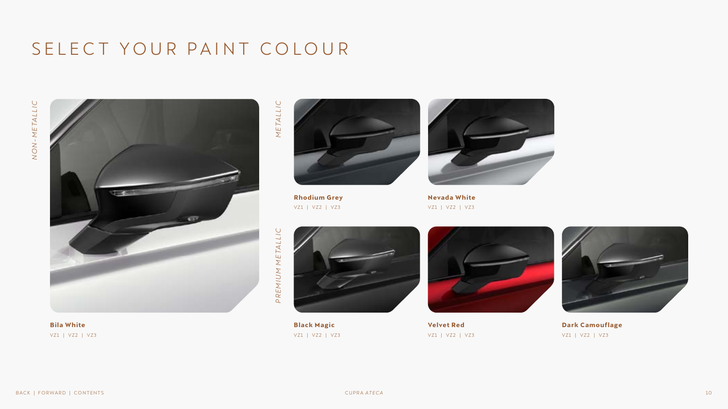### <span id="page-9-0"></span>SELECT YOUR PAINT COLOUR



**Bila White**  VZ1 | VZ2 | VZ3

METALLIC *METALLIC*



**Rhodium Grey**  VZ1 | VZ2 | VZ3



**Nevada White**  VZ1 | VZ2 | VZ3



**Black Magic** VZ1 | VZ2 | VZ3



**Velvet Red**  VZ1 | VZ2 | VZ3



**Dark Camouflage**  VZ1 | VZ2 | VZ3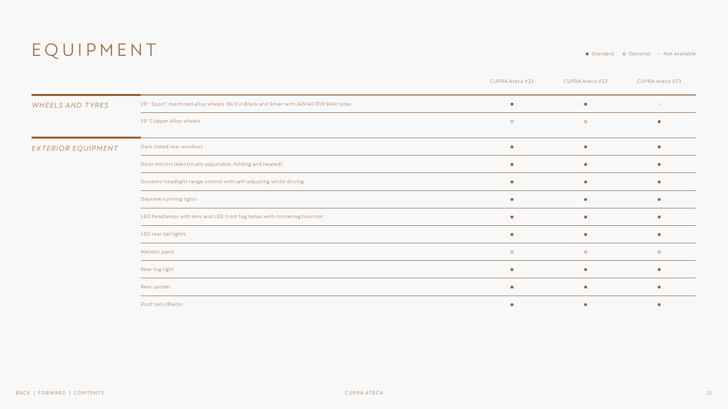### <span id="page-10-0"></span>EQUIPMENT

● Standard o Optional – Not available

|                    |                                                                                      | <b>CUPRA Ateca VZ1</b> | <b>CUPRA Ateca VZ2</b> | <b>CUPRA Ateca VZ3</b>   |
|--------------------|--------------------------------------------------------------------------------------|------------------------|------------------------|--------------------------|
| WHEELS AND TYRES   | 19" 'Sport' machined alloy wheels 36/3 in Black and Silver with 245/40 R19 94W tyres | $\bullet$              | $\bullet$              | $\overline{\phantom{a}}$ |
|                    | 19" Copper Alloy wheels                                                              | $\circ$                | $\circ$                |                          |
| EXTERIOR EQUIPMENT | Dark tinted rear windows                                                             | $\bullet$              | $\bullet$              |                          |
|                    | Door mirrors (electrically adjustable, folding and heated)                           | $\bullet$              | $\bullet$              |                          |
|                    | Dynamic headlight range control with self-adjusting whilst driving                   | $\bullet$              | $\bullet$              |                          |
|                    | Daytime running lights                                                               |                        | $\bullet$              |                          |
|                    | LED headlamps with lens and LED front fog lamps with cornering function              | $\bullet$              | $\bullet$              |                          |
|                    | LED rear tail lights                                                                 | $\bullet$              | ۰                      |                          |
|                    | Metallic paint                                                                       | $\circ$                | $\circ$                | $\circ$                  |
|                    | Rear fog light                                                                       | $\bullet$              | $\bullet$              |                          |
|                    | Rear spoiler                                                                         | $\bullet$              | $\bullet$              |                          |
|                    | Roof rails (Black)                                                                   |                        | $\bullet$              |                          |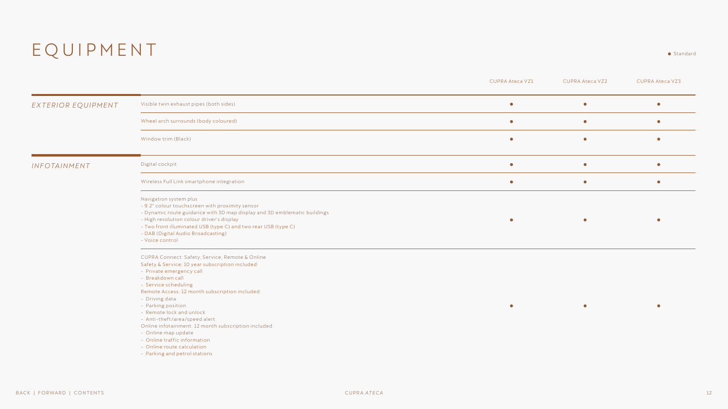### EQUIPMENT . Standard

|                    |                                                                                                                                                                                                                                                                                                                                                                                                                                                                                                                  | <b>CUPRA Ateca VZ1</b> | <b>CUPRA Ateca VZ2</b> | <b>CUPRA Ateca VZ3</b> |
|--------------------|------------------------------------------------------------------------------------------------------------------------------------------------------------------------------------------------------------------------------------------------------------------------------------------------------------------------------------------------------------------------------------------------------------------------------------------------------------------------------------------------------------------|------------------------|------------------------|------------------------|
| EXTERIOR EQUIPMENT | Visible twin exhaust pipes (both sides)                                                                                                                                                                                                                                                                                                                                                                                                                                                                          | $\bullet$              | $\bullet$              | $\bullet$              |
|                    | Wheel arch surrounds (body coloured)                                                                                                                                                                                                                                                                                                                                                                                                                                                                             | $\bullet$              | $\bullet$              | $\bullet$              |
|                    | Window trim (Black)                                                                                                                                                                                                                                                                                                                                                                                                                                                                                              | $\bullet$              | $\bullet$              | $\bullet$              |
| INFOTAINMENT       | Digital cockpit                                                                                                                                                                                                                                                                                                                                                                                                                                                                                                  | $\bullet$              | $\bullet$              | $\bullet$              |
|                    | Wireless Full Link smartphone integration                                                                                                                                                                                                                                                                                                                                                                                                                                                                        | $\bullet$              | $\bullet$              | $\bullet$              |
|                    | Navigation system plus<br>- 9.2" colour touchscreen with proximity sensor<br>- Dynamic route guidance with 3D map display and 3D emblematic buildings<br>- High resolution colour driver's display<br>- Two front illuminated USB (type C) and two rear USB (type C)<br>- DAB (Digital Audio Broadcasting)<br>- Voice control                                                                                                                                                                                    |                        |                        |                        |
|                    | CUPRA Connect: Safety, Service, Remote & Online<br>Safety & Service: 10 year subscription included:<br>- Private emergency call<br>- Breakdown call<br>- Service scheduling<br>Remote Access: 12 month subscription included:<br>- Driving data<br>- Parking position<br>- Remote lock and unlock<br>- Anti-theft/area/speed alert<br>Online infotainment: 12 month subscription included:<br>- Online map update<br>- Online traffic information<br>- Online route calculation<br>- Parking and petrol stations |                        |                        |                        |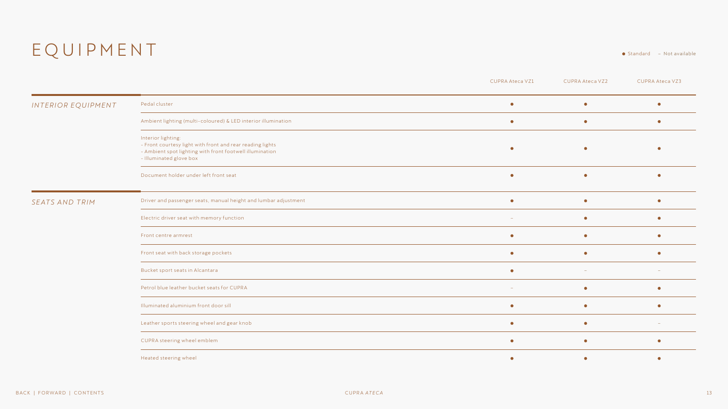### EQUIPMENT Standard – Not available

|                    |                                                                                                                                                                        | <b>CUPRA Ateca VZ1</b> | <b>CUPRA Ateca VZ2</b> | <b>CUPRA Ateca VZ3</b> |
|--------------------|------------------------------------------------------------------------------------------------------------------------------------------------------------------------|------------------------|------------------------|------------------------|
| INTERIOR EQUIPMENT | Pedal cluster                                                                                                                                                          | $\bullet$              | $\bullet$              | $\bullet$              |
|                    | Ambient lighting (multi-coloured) & LED interior illumination                                                                                                          | $\bullet$              | $\bullet$              |                        |
|                    | Interior lighting:<br>- Front courtesy light with front and rear reading lights<br>- Ambient spot lighting with front footwell illumination<br>- Illuminated glove box | $\bullet$              | $\bullet$              |                        |
|                    | Document holder under left front seat                                                                                                                                  | $\bullet$              | $\bullet$              |                        |
| SEATS AND TRIM     | Driver and passenger seats, manual height and lumbar adjustment                                                                                                        | $\bullet$              | $\bullet$              | $\bullet$              |
|                    | Electric driver seat with memory function                                                                                                                              |                        | $\bullet$              | $\bullet$              |
|                    | Front centre armrest                                                                                                                                                   | $\bullet$              | $\bullet$              |                        |
|                    | Front seat with back storage pockets                                                                                                                                   | $\bullet$              | $\bullet$              |                        |
|                    | Bucket sport seats in Alcantara                                                                                                                                        | $\bullet$              | $\sim$                 | $\sim$                 |
|                    | Petrol blue leather bucket seats for CUPRA                                                                                                                             |                        | $\bullet$              |                        |
|                    | Illuminated aluminium front door sill                                                                                                                                  | $\bullet$              | $\bullet$              | $\bullet$              |
|                    | Leather sports steering wheel and gear knob                                                                                                                            | $\bullet$              | $\bullet$              |                        |
|                    | CUPRA steering wheel emblem                                                                                                                                            | $\bullet$              | $\bullet$              | $\bullet$              |
|                    | Heated steering wheel                                                                                                                                                  | $\bullet$              | $\bullet$              |                        |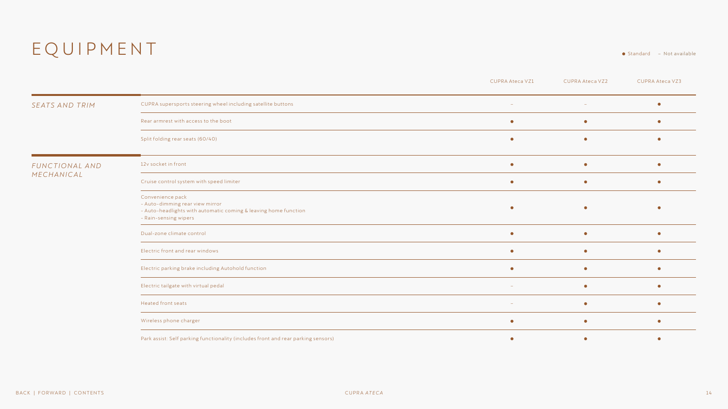### $E \overline{Q} \overline{U} \overline{P} \overline{M} \overline{E} \overline{N}$   $\overline{T}$   $\bullet$  standard – Not available

|                       |                                                                                                                                                 | <b>CUPRA Ateca VZ1</b>   | <b>CUPRA Ateca VZ2</b> | <b>CUPRA Ateca VZ3</b> |
|-----------------------|-------------------------------------------------------------------------------------------------------------------------------------------------|--------------------------|------------------------|------------------------|
| <b>SEATS AND TRIM</b> | CUPRA supersports steering wheel including satellite buttons                                                                                    | $\sim$                   | $\sim$                 |                        |
|                       | Rear armrest with access to the boot                                                                                                            | $\bullet$                | $\bullet$              |                        |
|                       | Split folding rear seats (60/40)                                                                                                                | $\bullet$                | $\bullet$              |                        |
| FUNCTIONAL AND        | 12v socket in front                                                                                                                             |                          | $\bullet$              |                        |
| MECHANICAL            | Cruise control system with speed limiter                                                                                                        | $\bullet$                | $\bullet$              |                        |
|                       | Convenience pack<br>- Auto-dimming rear view mirror<br>- Auto-headlights with automatic coming & leaving home function<br>- Rain-sensing wipers |                          | $\bullet$              |                        |
|                       | Dual-zone climate control                                                                                                                       | $\bullet$                | $\bullet$              |                        |
|                       | Electric front and rear windows                                                                                                                 | $\bullet$                | $\bullet$              | $\bullet$              |
|                       | Electric parking brake including Autohold function                                                                                              | $\bullet$                | $\bullet$              |                        |
|                       | Electric tailgate with virtual pedal                                                                                                            | $\sim$                   | $\bullet$              | $\bullet$              |
|                       | Heated front seats                                                                                                                              | $\overline{\phantom{a}}$ | $\bullet$              |                        |
|                       | Wireless phone charger                                                                                                                          | $\bullet$                | $\bullet$              |                        |
|                       | Park assist: Self parking functionality (includes front and rear parking sensors)                                                               | $\bullet$                | ٠                      |                        |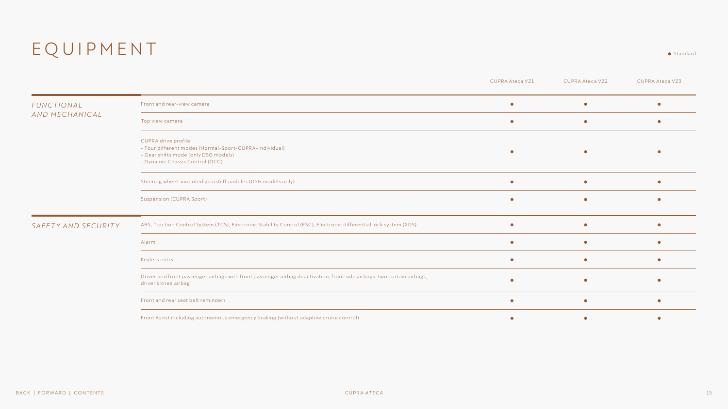### EQUIPMENT

|                     |                                                                                                                                                          | <b>CUPRA Ateca VZ1</b> | <b>CUPRA Ateca VZ2</b> | <b>CUPRA Ateca VZ3</b> |
|---------------------|----------------------------------------------------------------------------------------------------------------------------------------------------------|------------------------|------------------------|------------------------|
| <b>FUNCTIONAL</b>   | Front and rear-view camera                                                                                                                               | О                      | ۰                      |                        |
| AND MECHANICAL      | Top view camera                                                                                                                                          | $\bullet$              | $\bullet$              |                        |
|                     | CUPRA drive profile<br>- Four different modes (Normal-Sport-CUPRA-Individual)<br>- Gear shifts mode (only DSG models)<br>- Dynamic Chassis Control (DCC) |                        | $\bullet$              |                        |
|                     | Steering wheel-mounted gearshift paddles (DSG models only)                                                                                               | $\bullet$              | $\bullet$              |                        |
|                     | <b>Suspension (CUPRA Sport)</b>                                                                                                                          |                        | $\bullet$              |                        |
| SAFETY AND SECURITY | ABS, Traction Control System (TCS), Electronic Stability Control (ESC), Electronic differential lock system (XDS)                                        |                        | $\bullet$              |                        |
|                     | Alarm                                                                                                                                                    |                        | $\bullet$              |                        |
|                     | Keyless entry                                                                                                                                            | $\bullet$              | $\bullet$              |                        |
|                     | Driver and front passenger airbags with front passenger airbag deactivation, front side airbags, two curtain airbags,<br>driver's knee airbag            |                        | $\bullet$              |                        |
|                     | Front and rear seat belt reminders                                                                                                                       | $\bullet$              | $\bullet$              |                        |
|                     | Front Assist including autonomous emergency braking (without adaptive cruise control)                                                                    |                        |                        |                        |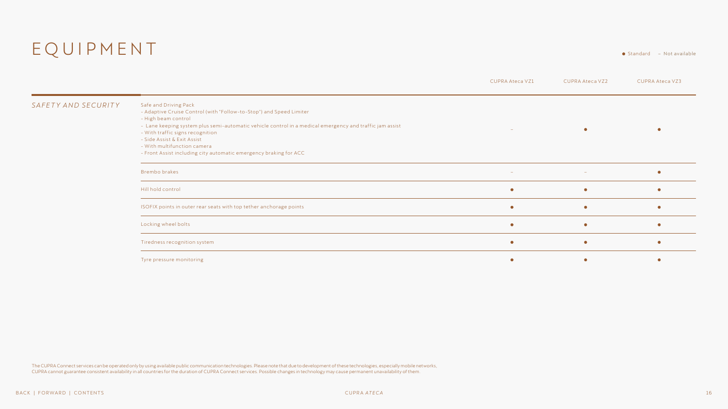### EQUIPMENT Standard – Not available

CUPRA Ateca VZ1 CUPRA Ateca VZ2 CUPRA Ateca VZ3

| SAFETY AND SECURITY | Safe and Driving Pack<br>- Adaptive Cruise Control (with "Follow-to-Stop") and Speed Limiter<br>- High beam control<br>- Lane keeping system plus semi-automatic vehicle control in a medical emergency and traffic jam assist<br>- With traffic signs recognition<br>- Side Assist & Exit Assist<br>- With multifunction camera<br>- Front Assist including city automatic emergency braking for ACC |        |        |  |
|---------------------|-------------------------------------------------------------------------------------------------------------------------------------------------------------------------------------------------------------------------------------------------------------------------------------------------------------------------------------------------------------------------------------------------------|--------|--------|--|
|                     | <b>Brembo brakes</b>                                                                                                                                                                                                                                                                                                                                                                                  | $\sim$ | $\sim$ |  |
|                     | Hill hold control                                                                                                                                                                                                                                                                                                                                                                                     |        |        |  |
|                     | ISOFIX points in outer rear seats with top tether anchorage points                                                                                                                                                                                                                                                                                                                                    |        |        |  |
|                     | Locking wheel bolts                                                                                                                                                                                                                                                                                                                                                                                   |        |        |  |
|                     | Tiredness recognition system                                                                                                                                                                                                                                                                                                                                                                          |        |        |  |
|                     | Tyre pressure monitoring                                                                                                                                                                                                                                                                                                                                                                              |        |        |  |

The CUPRA Connect services can be operated only by using available public communication technologies. Please note that due to development of these technologies, especially mobile networks, CUPRA cannot guarantee consistent availability in all countries for the duration of CUPRA Connect services. Possible changes in technology may cause permanent unavailability of them.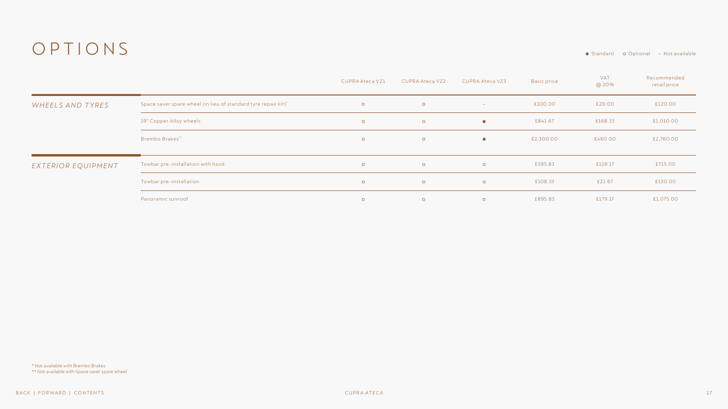### <span id="page-16-0"></span>OPTIONS Standard Optional – Not available

|                    |                                                                | <b>CUPRA Ateca VZ1</b> | <b>CUPRA Ateca VZ2</b> | <b>CUPRA Ateca VZ3</b> | <b>Basic price</b> | VAT<br>@ 20% | Recommended<br>retail price |
|--------------------|----------------------------------------------------------------|------------------------|------------------------|------------------------|--------------------|--------------|-----------------------------|
| WHEELS AND TYRES   | Space saver spare wheel (in lieu of standard tyre repair kit)* | $\circ$                | $\circ$                | $\sim$                 | £100.00            | £20.00       | £120.00                     |
|                    | 19" Copper Alloy wheels                                        | $\circ$                | $\circ$                | $\bullet$              | £841.67            | £168.33      | £1,010.00                   |
|                    | <b>Brembo Brakes**</b>                                         | $\circ$                | $\circ$                | $\bullet$              | £2,300.00          | £460.00      | £2,760.00                   |
| EXTERIOR EQUIPMENT | Towbar pre-installation with hook                              | $\circ$                | $\circ$                | $\circ$                | £595.83            | £119.17      | £715.00                     |
|                    | Towbar pre-installation                                        | $\circ$                | $\circ$                | $\circ$                | £108.33            | £21.67       | £130.00                     |
|                    | Panoramic sunroof                                              | $\circ$                | $\circ$                | $\circ$                | £895.83            | £179.17      | £1,075.00                   |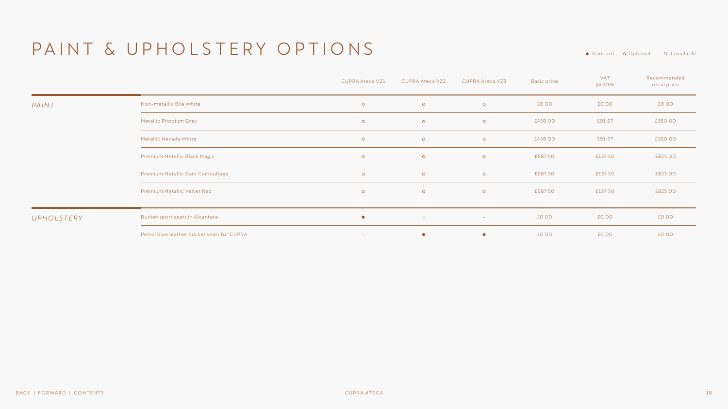### <span id="page-17-0"></span>PAINT & UPHOLSTERY OPTIONS

● Standard o Optional – Not available

|            |                                            | <b>CUPRA Ateca VZ1</b> | <b>CUPRA Ateca VZ2</b> | CUPRA Ateca VZ3 | <b>Basic price</b> | <b>VAT</b><br>@ 20% | Recommended<br>retail price |
|------------|--------------------------------------------|------------------------|------------------------|-----------------|--------------------|---------------------|-----------------------------|
| PAINT      | Non-metallic Bila White                    | $\circ$                | $\circ$                | $\circ$         | £0.00              | £0.00               | £0.00                       |
|            | Metallic Rhodium Grey                      | $\circ$                | $\circ$                | $\circ$         | £458.00            | £91.67              | £550.00                     |
|            | Metallic Nevada White                      | $\circ$                | $\circ$                | $\circ$         | £458.00            | £91.67              | £550.00                     |
|            | Premium Metallic Black Magic               | $\circ$                | $\circ$                | $\circ$         | £687.50            | £137.50             | £825.00                     |
|            | Premium Metallic Dark Camouflage           | $\circ$                | $\circ$                | $\circ$         | £687.50            | £137.50             | £825.00                     |
|            | Premium Metallic Velvet Red                | $\circ$                | $\circ$                | $\circ$         | £687.50            | £137.50             | £825.00                     |
| UPHOLSTERY | Bucket sport seats in Alcantara            | $\bullet$              | $\sim$                 | $\sim$          | £0.00              | £0.00               | £0.00                       |
|            | Petrol blue leather bucket seats for CUPRA | $\sim$                 | $\bullet$              | $\bullet$       | £0.00              | £0.00               | £0.00                       |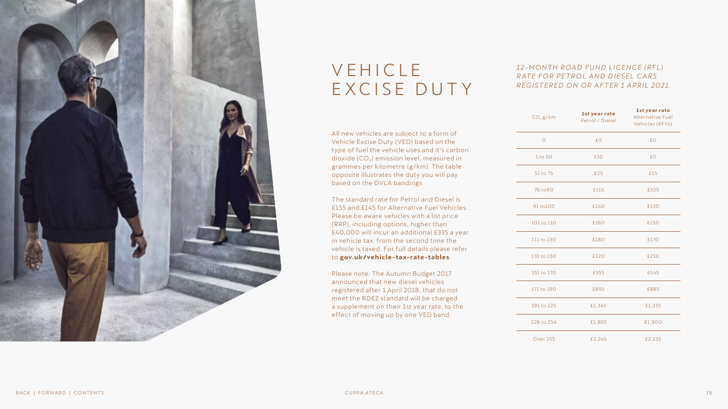<span id="page-18-0"></span>

### **VEHICLE** EXCISE DUTY

All new vehicles are subject to a form of Vehicle Excise Duty (VED) based on the type of fuel the vehicle uses and it's carbon dioxide  $(CO_2)$  emission level, measured in grammes per kilometre (g/km). The table opposite illustrates the duty you will pay based on the DVLA bandings.

The standard rate for Petrol and Diesel is £155 and £145 for Alternative Fuel Vehicles. Please be aware vehicles with a list price (RRP), including options, higher than £40,000 will incur an additional £335 a year in vehicle tax, from the second time the vehicle is taxed. For full details please refer to **[gov.uk/vehicle-tax-rate-tables](https://www.gov.uk/vehicle-tax-rate-tables)**.

Please note: The Autumn Budget 2017 announced that new diesel vehicles registered after 1 April 2018, that do not meet the RDE2 standard will be charged a supplement on their 1st year rate, to the effect of moving up by one VED band.

### 12-MONTH ROAD FUND LICENCE (RFL) **RATE FOR PETROL AND DIESEL CARS** *REGISTERED ON OR AFTER 1 APRIL 2021.*

| CO <sub>2</sub> g/km | 1st year rate<br>Petrol / Diesel | 1st year rate<br><b>Alternative Fuel</b><br>Vehicles (AFVs) |
|----------------------|----------------------------------|-------------------------------------------------------------|
| $\overline{O}$       | £0                               | £Ο                                                          |
| 1 to 50              | £10                              | £0                                                          |
| 51 to 75             | £25                              | £15                                                         |
| 76 to 90             | £115                             | £105                                                        |
| 91 to 100            | £140                             | £130                                                        |
| 101 to 110           | £160                             | £150                                                        |
| 111 to 130           | £180                             | £170                                                        |
| 131 to 150           | £220                             | £210                                                        |
| 151 to 170           | £555                             | £545                                                        |
| 171 to 190           | £895                             | £885                                                        |
| 191 to 225           | £1,345                           | £1,335                                                      |
| 226 to 254           | £1,910                           | £1,900                                                      |
| <b>Over 255</b>      | £2,245                           | £2,235                                                      |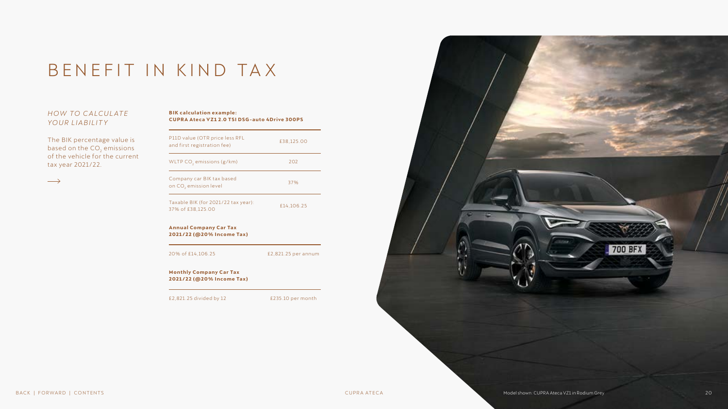### BENEFIT IN KIND TA X

### **HOW TO CALCULATE** *YOUR LIABILITY*

The BIK percentage value is based on the CO<sub>2</sub> emissions of the vehicle for the current tax year 2021/22.

| <b>BIK calculation example:</b>                     |
|-----------------------------------------------------|
| <b>CUPRA Ateca VZ12.0 TSI DSG-auto 4Drive 300PS</b> |

| P11D value (OTR price less RFL<br>and first registration fee)  | £38,125.00          |  |  |
|----------------------------------------------------------------|---------------------|--|--|
| WLTP CO <sub>2</sub> emissions (g/km)                          | 202                 |  |  |
| Company car BIK tax based<br>on CO <sub>2</sub> emission level | 37%                 |  |  |
| Taxable BIK (for 2021/22 tax year):<br>37% of £38,125.00       | £14.106.25          |  |  |
|                                                                |                     |  |  |
| <b>Annual Company Car Tax</b><br>2021/22 (@20% Income Tax)     |                     |  |  |
| 20% of £14,106.25                                              | £2,821.25 per annum |  |  |
| <b>Monthly Company Car Tax</b><br>2021/22 (@20% Income Tax)    |                     |  |  |

<span id="page-19-0"></span>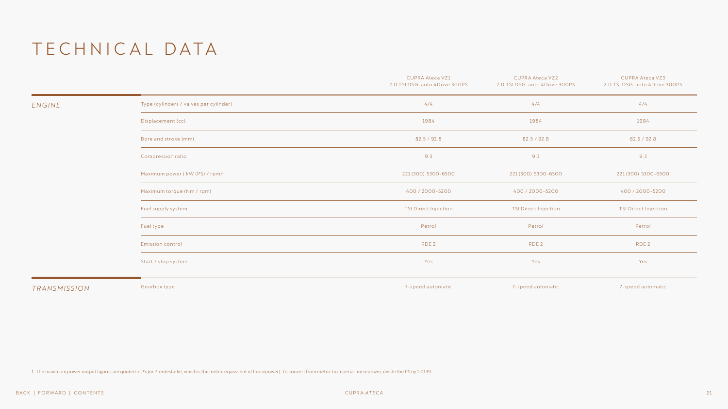<span id="page-20-0"></span>

|              |                                            | <b>CUPRA Ateca VZ1</b><br>2.0 TSI DSG-auto 4Drive 300PS | <b>CUPRA Ateca VZ2</b><br>2.0 TSI DSG-auto 4Drive 300PS | <b>CUPRA Ateca VZ3</b><br>2.0 TSI DSG-auto 4Drive 300PS |
|--------------|--------------------------------------------|---------------------------------------------------------|---------------------------------------------------------|---------------------------------------------------------|
| ENGINE       | Type (cylinders / valves per cylinder)     | 4/4                                                     | 4/4                                                     | 4/4                                                     |
|              | Displacement (cc)                          | 1984                                                    | 1984                                                    | 1984                                                    |
|              | Bore and stroke (mm)                       | 82.5 / 92.8                                             | 82.5 / 92.8                                             | 82.5 / 92.8                                             |
|              | Compression ratio                          | 9.3                                                     | 9.3                                                     |                                                         |
|              | Maximum power (kW (PS) / rpm) <sup>1</sup> | 221 (300) 5300-6500                                     | 221 (300) 5300-6500                                     |                                                         |
|              | Maximum torque (Nm / rpm)                  | 400 / 2000-5200                                         | 400 / 2000-5200                                         | 400 / 2000-5200                                         |
|              | Fuel supply system                         | TSI Direct Injection                                    | <b>TSI Direct Injection</b>                             | <b>TSI Direct Injection</b>                             |
|              | Fueltype                                   | Petrol                                                  | Petrol                                                  | Petrol                                                  |
|              | Emission control                           | RDE <sub>2</sub>                                        | RDE <sub>2</sub>                                        |                                                         |
|              | Start / stop system                        | Yes                                                     | Yes                                                     | Yes                                                     |
| TRANSMISSION | Gearbox type                               | 7-speed automatic                                       | 7-speed automatic                                       | 7-speed automatic                                       |

1. The maximum power output figures are quoted in PS (or Pferdestärke, which is the metric equivalent of horsepower). To convert from metric to imperial horsepower, divide the PS by 1.0139.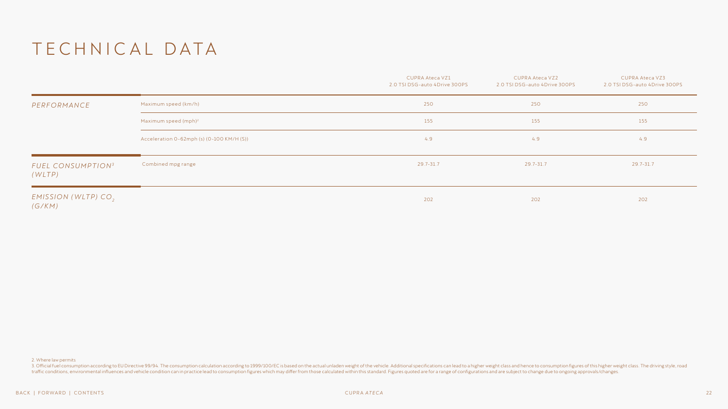|                                           |                                           | <b>CUPRA Ateca VZ1</b><br>2.0 TSI DSG-auto 4Drive 300PS | CUPRA Ateca VZ2<br>2.0 TSI DSG-auto 4Drive 300PS | <b>CUPRA Ateca VZ3</b><br>2.0 TSI DSG-auto 4Drive 300PS |
|-------------------------------------------|-------------------------------------------|---------------------------------------------------------|--------------------------------------------------|---------------------------------------------------------|
| PERFORMANCE                               | Maximum speed (km/h)                      | 250                                                     | 250                                              | 250                                                     |
|                                           | Maximum speed $(mph)^2$                   | 155                                                     | 155                                              | 155                                                     |
|                                           | Acceleration 0-62mph (s) (0-100 KM/H (S)) | 4.9                                                     | 4.9                                              | 4.9                                                     |
| FUEL CONSUMPTION <sup>3</sup><br>(WLTP)   | Combined mpg range                        | 29.7-31.7                                               | 29.7-31.7                                        | 29.7-31.7                                               |
| EMISSION (WLTP) CO <sub>2</sub><br>(G/KM) |                                           | 202                                                     | 202                                              | 202                                                     |

2. Where law permits

3. Official fuel consumption according to EU Directive 99/94. The consumption calculation according to 1999/100/EC is based on the actual unladen weight of the vehicle. Additional specifications can lead to a higher weight traffic conditions, environmental influences and vehicle condition can in practice lead to consumption figures which may differ from those calculated within this standard. Figures quoted are for a range of configurations a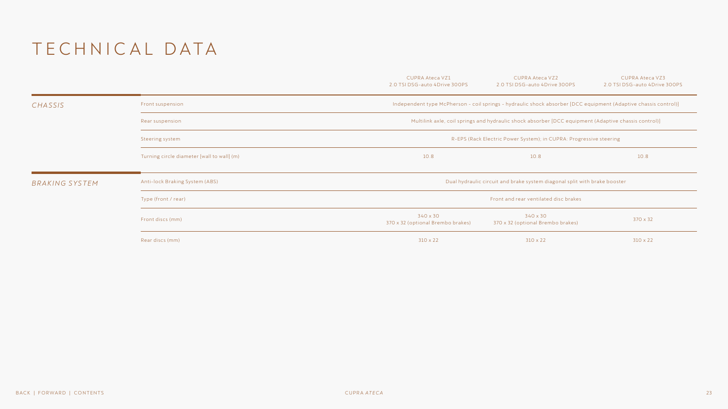|                |                                            | <b>CUPRA Ateca VZ1</b><br>2.0 TSI DSG-auto 4Drive 300PS | <b>CUPRA Ateca VZ2</b><br>2.0 TSI DSG-auto 4Drive 300PS                                                         | <b>CUPRA Ateca VZ3</b><br>2.0 TSI DSG-auto 4Drive 300PS |  |  |  |
|----------------|--------------------------------------------|---------------------------------------------------------|-----------------------------------------------------------------------------------------------------------------|---------------------------------------------------------|--|--|--|
| CHASSIS        | Front suspension                           |                                                         | Independent type McPherson - coil springs - hydraulic shock absorber [DCC equipment (Adaptive chassis control)] |                                                         |  |  |  |
|                | Rear suspension                            |                                                         | Multilink axle, coil springs and hydraulic shock absorber [DCC equipment (Adaptive chassis control)]            |                                                         |  |  |  |
|                | Steering system                            |                                                         | R-EPS (Rack Electric Power System); in CUPRA: Progressive steering                                              |                                                         |  |  |  |
|                | Turning circle diameter [wall to wall] (m) | 10.8                                                    | 10.8                                                                                                            | 10.8                                                    |  |  |  |
| BRAKING SYSTEM | Anti-lock Braking System (ABS)             |                                                         | Dual hydraulic circuit and brake system diagonal split with brake booster                                       |                                                         |  |  |  |
|                | Type (front / rear)                        |                                                         | Front and rear ventilated disc brakes                                                                           |                                                         |  |  |  |
|                | Front discs (mm)                           | 340 x 30<br>370 x 32 (optional Brembo brakes)           | 340 x 30<br>370 x 32<br>370 x 32 (optional Brembo brakes)                                                       |                                                         |  |  |  |
|                | Rear discs (mm)                            | $310 \times 22$                                         | $310 \times 22$                                                                                                 | $310 \times 22$                                         |  |  |  |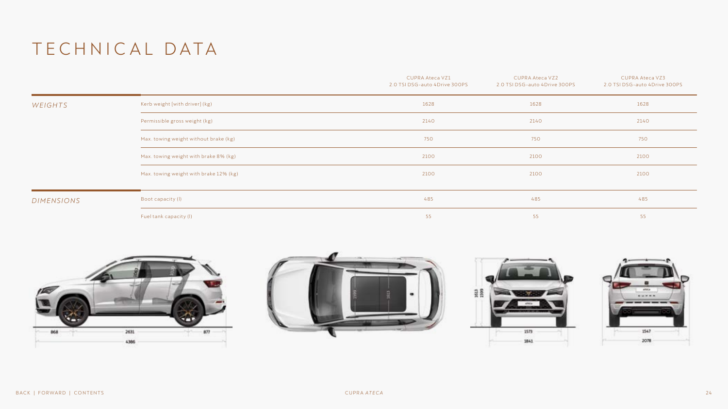|            |                                        | CUPRA Ateca VZ1<br>2.0 TSI DSG-auto 4Drive 300PS | CUPRA Ateca VZ2<br>2.0 TSI DSG-auto 4Drive 300PS | <b>CUPRA Ateca VZ3</b><br>2.0 TSI DSG-auto 4Drive 300PS |
|------------|----------------------------------------|--------------------------------------------------|--------------------------------------------------|---------------------------------------------------------|
| WEIGHTS    | Kerb weight [with driver] (kg)         | 1628                                             | 1628                                             | 1628                                                    |
|            | Permissible gross weight (kg)          | 2140                                             | 2140                                             | 2140                                                    |
|            | Max. towing weight without brake (kg)  | 750                                              | 750                                              | 750                                                     |
|            | Max. towing weight with brake 8% (kg)  | 2100                                             | 2100                                             | 2100                                                    |
|            | Max. towing weight with brake 12% (kg) | 2100                                             | 2100                                             | 2100                                                    |
| DIMENSIONS | Boot capacity (I)                      | 485                                              | 485                                              | 485                                                     |
|            | Fuel tank capacity (I)                 | 55                                               | 55                                               | 55                                                      |







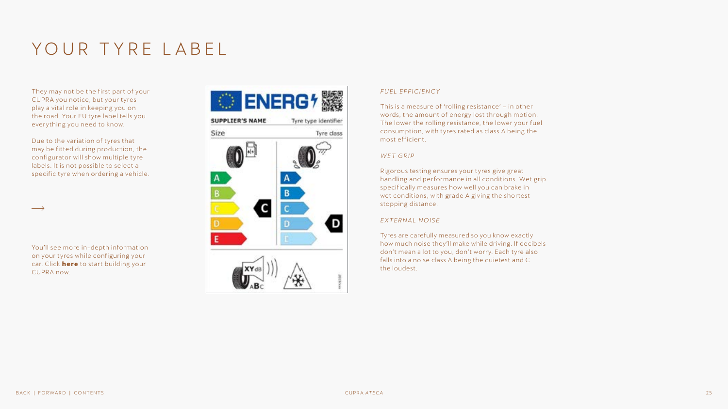### YOUR TYRE LABEL

They may not be the first part of your CUPRA you notice, but your tyres play a vital role in keeping you on the road. Your EU tyre label tells you everything you need to know.

Due to the variation of tyres that may be fitted during production, the configurator will show multiple tyre labels. It is not possible to select a specific tyre when ordering a vehicle.

You'll see more in-depth information on your tyres while configuring your car. Click **[here](https://configurator.cupraofficial.co.uk/model?wf=cupra-uk)** to start building your CUPRA now.



#### *FUEL EFFICIENCY*

This is a measure of 'rolling resistance' – in other words, the amount of energy lost through motion. The lower the rolling resistance, the lower your fuel consumption, with tyres rated as class A being the most efficient.

#### *WET GRIP*

Rigorous testing ensures your tyres give great handling and performance in all conditions. Wet grip specifically measures how well you can brake in wet conditions, with grade A giving the shortest stopping distance.

#### *EXTERNAL NOISE*

Tyres are carefully measured so you know exactly how much noise they'll make while driving. If decibels don't mean a lot to you, don't worry. Each tyre also falls into a noise class A being the quietest and C the loudest.

 $\longrightarrow$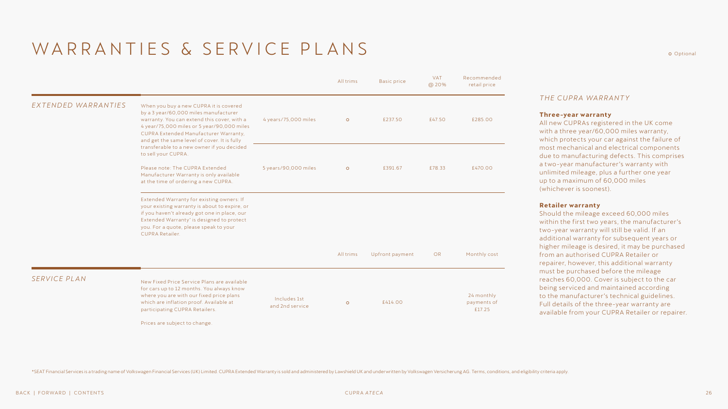### <span id="page-25-0"></span>WARRANTIES & SERVICE PLANS

Prices are subject to change.

|                     |                                                                                                                                                                                                                                                                       |                                 | All trims | <b>Basic price</b> | <b>VAT</b><br>@ 20% | Recommended<br>retail price         |
|---------------------|-----------------------------------------------------------------------------------------------------------------------------------------------------------------------------------------------------------------------------------------------------------------------|---------------------------------|-----------|--------------------|---------------------|-------------------------------------|
| EXTENDED WARRANTIES | When you buy a new CUPRA it is covered<br>by a 3 year/60,000 miles manufacturer<br>warranty. You can extend this cover, with a<br>4 year/75,000 miles or 5 year/90,000 miles<br>CUPRA Extended Manufacturer Warranty,<br>and get the same level of cover. It is fully | 4 years/75,000 miles            | $\circ$   | £237.50            | £47.50              | £285.00                             |
|                     | transferable to a new owner if you decided<br>to sell your CUPRA.                                                                                                                                                                                                     |                                 |           |                    |                     |                                     |
|                     | Please note: The CUPRA Extended<br>Manufacturer Warranty is only available<br>at the time of ordering a new CUPRA.                                                                                                                                                    | 5 years/90,000 miles            | $\circ$   | £391.67            | £78.33              | £470.00                             |
|                     | Extended Warranty for existing owners: If<br>your existing warranty is about to expire, or<br>if you haven't already got one in place, our<br>Extended Warranty* is designed to protect<br>you. For a quote, please speak to your<br><b>CUPRA Retailer.</b>           |                                 |           |                    |                     |                                     |
|                     |                                                                                                                                                                                                                                                                       |                                 | All trims | Upfront payment    | OR                  | Monthly cost                        |
| SERVICE PLAN        | New Fixed Price Service Plans are available<br>for cars up to 12 months. You always know                                                                                                                                                                              |                                 |           |                    |                     |                                     |
|                     | where you are with our fixed price plans<br>which are inflation proof. Available at<br>participating CUPRA Retailers.                                                                                                                                                 | Includes 1st<br>and 2nd service | $\circ$   | £414.00            |                     | 24 monthly<br>payments of<br>£17.25 |

#### *THE CUPRA WARRANTY*

#### **Three-year warranty**

All new CUPRAs registered in the UK come with a three year/60,000 miles warranty, which protects your car against the failure of most mechanical and electrical components due to manufacturing defects. This comprises a two-year manufacturer's warranty with unlimited mileage, plus a further one year up to a maximum of 60,000 miles (whichever is soonest).

#### **Retailer warranty**

Should the mileage exceed 60,000 miles within the first two years, the manufacturer's two-year warranty will still be valid. If an additional warranty for subsequent years or higher mileage is desired, it may be purchased from an authorised CUPRA Retailer or repairer, however, this additional warranty must be purchased before the mileage reaches 60,000. Cover is subject to the car being serviced and maintained according to the manufacturer's technical guidelines. Full details of the three-year warranty are available from your CUPRA Retailer or repairer.

\*SEAT Financial Services is a trading name of Volkswagen Financial Services (UK) Limited. CUPRA Extended Warranty is sold and administered by Lawshield UK and underwritten by Volkswagen Versicherung AG. Terms, conditions,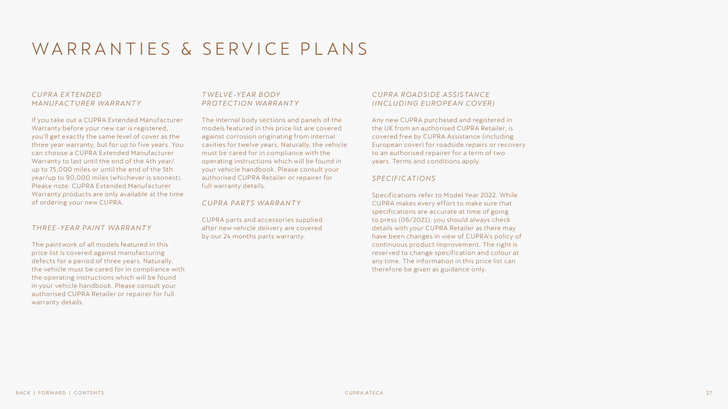### WARRANTIES & SERVICE PLANS

### *CU P R A E X TEN D ED MANUFACTURER WARRANTY*

If you take out a CUPRA Extended Manufacturer Warranty before your new car is registered, you'll get exactly the same level of cover as the three year warranty, but for up to five years. You can choose a CUPRA Extended Manufacturer Warranty to last until the end of the 4th year/ up to 75,000 miles or until the end of the 5th year/up to 90,000 miles (whichever is soonest). Please note: CUPRA Extended Manufacturer Warranty products are only available at the time of ordering your new CUPRA.

### *THREE-YEAR PAINT WARRANTY*

The paintwork of all models featured in this price list is covered against manufacturing defects for a period of three years. Naturally, the vehicle must be cared for in compliance with the operating instructions which will be found in your vehicle handbook. Please consult your authorised CUPRA Retailer or repairer for full warranty details.

### *T W ELV E-Y E A R B O DY PROTECTION WARRANTY*

The internal body sections and panels of the models featured in this price list are covered against corrosion originating from internal cavities for twelve years. Naturally, the vehicle must be cared for in compliance with the operating instructions which will be found in your vehicle handbook. Please consult your authorised CUPRA Retailer or repairer for full warranty details.

*CUPRA PARTS WARRANTY*

CUPRA parts and accessories supplied after new vehicle delivery are covered by our 24 months parts warranty.

### *CU P R A R OA DSI D E A S SIS TA N CE (INCLUDING EUROPEAN COVER)*

Any new CUPRA purchased and registered in the UK from an authorised CUPRA Retailer, is covered free by CUPRA Assistance (including European cover) for roadside repairs or recovery to an authorised repairer for a term of two years. Terms and conditions apply.

### *SPECIFICATIONS*

Specifications refer to Model Year 2022. While CUPRA makes every effort to make sure that specifications are accurate at time of going to press (06/2021), you should always check details with your CUPRA Retailer as there may have been changes in view of CUPRA's policy of continuous product improvement. The right is reserved to change specification and colour at any time. The information in this price list can therefore be given as guidance only.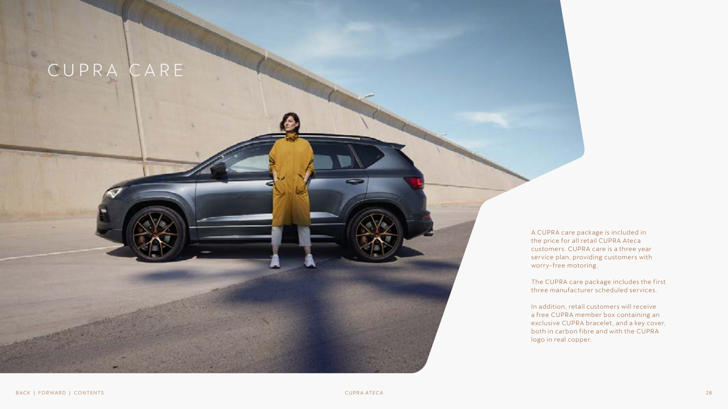## CUPRA CARE

<span id="page-27-0"></span> $\mathbb{Q}_1$ 

A CUPRA care package is included in the price for all retail CUPRA Ateca customers. CUPRA care is a three year service plan, providing customers with worry-free motoring.

The CUPRA care package includes the first three manufacturer scheduled services.

In addition, retail customers will receive a free CUPRA member box containing an exclusive CUPRA bracelet, and a key cover, both in carbon fibre and with the CUPRA logo in real copper.